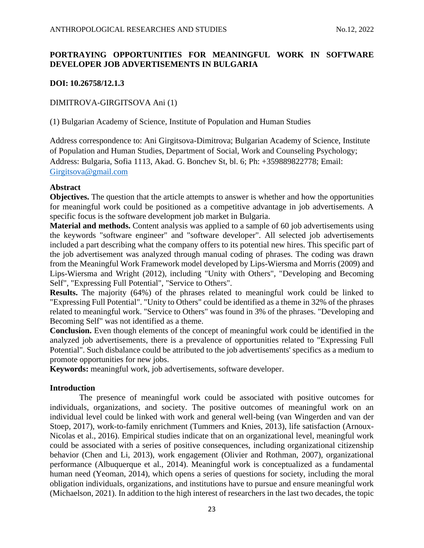# **PORTRAYING OPPORTUNITIES FOR MEANINGFUL WORK IN SOFTWARE DEVELOPER JOB ADVERTISEMENTS IN BULGARIA**

## **DOI: 10.26758/12.1.3**

## DIMITROVA-GIRGITSOVA Ani (1)

(1) Bulgarian Academy of Science, Institute of Population and Human Studies

Address correspondence to: Ani Girgitsova-Dimitrova; Bulgarian Academy of Science, Institute of Population and Human Studies, Department of Social, Work and Counseling Psychology; Address: Bulgaria, Sofia 1113, Akad. G. Bonchev St, bl. 6; Ph: +359889822778; Email: [Girgitsova@gmail.com](mailto:Girgitsova@gmail.com)

### **Abstract**

**Objectives.** The question that the article attempts to answer is whether and how the opportunities for meaningful work could be positioned as a competitive advantage in job advertisements. A specific focus is the software development job market in Bulgaria.

**Material and methods.** Content analysis was applied to a sample of 60 job advertisements using the keywords "software engineer" and "software developer". All selected job advertisements included a part describing what the company offers to its potential new hires. This specific part of the job advertisement was analyzed through manual coding of phrases. The coding was drawn from the Meaningful Work Framework model developed by Lips-Wiersma and Morris (2009) and Lips-Wiersma and Wright (2012), including "Unity with Others", "Developing and Becoming Self", "Expressing Full Potential", "Service to Others".

**Results.** The majority (64%) of the phrases related to meaningful work could be linked to "Expressing Full Potential". "Unity to Others" could be identified as a theme in 32% of the phrases related to meaningful work. "Service to Others" was found in 3% of the phrases. "Developing and Becoming Self" was not identified as a theme.

**Conclusion.** Even though elements of the concept of meaningful work could be identified in the analyzed job advertisements, there is a prevalence of opportunities related to "Expressing Full Potential". Such disbalance could be attributed to the job advertisements' specifics as a medium to promote opportunities for new jobs.

**Keywords:** meaningful work, job advertisements, software developer.

## **Introduction**

The presence of meaningful work could be associated with positive outcomes for individuals, organizations, and society. The positive outcomes of meaningful work on an individual level could be linked with work and general well-being (van Wingerden and van der Stoep, 2017), work-to-family enrichment (Tummers and Knies, 2013), life satisfaction (Arnoux-Nicolas et al., 2016). Empirical studies indicate that on an organizational level, meaningful work could be associated with a series of positive consequences, including organizational citizenship behavior (Chen and Li, 2013), work engagement (Olivier and Rothman, 2007), organizational performance (Albuquerque et al., 2014). Meaningful work is conceptualized as a fundamental human need (Yeoman, 2014), which opens a series of questions for society, including the moral obligation individuals, organizations, and institutions have to pursue and ensure meaningful work (Michaelson, 2021). In addition to the high interest of researchers in the last two decades, the topic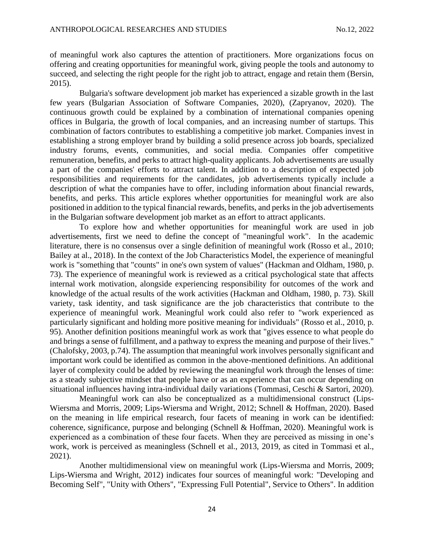of meaningful work also captures the attention of practitioners. More organizations focus on offering and creating opportunities for meaningful work, giving people the tools and autonomy to succeed, and selecting the right people for the right job to attract, engage and retain them (Bersin, 2015).

Bulgaria's software development job market has experienced a sizable growth in the last few years (Bulgarian Association of Software Companies, 2020), (Zapryanov, 2020). The continuous growth could be explained by a combination of international companies opening offices in Bulgaria, the growth of local companies, and an increasing number of startups. This combination of factors contributes to establishing a competitive job market. Companies invest in establishing a strong employer brand by building a solid presence across job boards, specialized industry forums, events, communities, and social media. Companies offer competitive remuneration, benefits, and perks to attract high-quality applicants. Job advertisements are usually a part of the companies' efforts to attract talent. In addition to a description of expected job responsibilities and requirements for the candidates, job advertisements typically include a description of what the companies have to offer, including information about financial rewards, benefits, and perks. This article explores whether opportunities for meaningful work are also positioned in addition to the typical financial rewards, benefits, and perks in the job advertisements in the Bulgarian software development job market as an effort to attract applicants.

To explore how and whether opportunities for meaningful work are used in job advertisements, first we need to define the concept of "meaningful work". In the academic literature, there is no consensus over a single definition of meaningful work (Rosso et al., 2010; Bailey at al., 2018). In the context of the Job Characteristics Model, the experience of meaningful work is "something that "counts" in one's own system of values" (Hackman and Oldham, 1980, p. 73). The experience of meaningful work is reviewed as a critical psychological state that affects internal work motivation, alongside experiencing responsibility for outcomes of the work and knowledge of the actual results of the work activities (Hackman and Oldham, 1980, p. 73). Skill variety, task identity, and task significance are the job characteristics that contribute to the experience of meaningful work. Meaningful work could also refer to "work experienced as particularly significant and holding more positive meaning for individuals" (Rosso et al., 2010, p. 95). Another definition positions meaningful work as work that "gives essence to what people do and brings a sense of fulfillment, and a pathway to express the meaning and purpose of their lives." (Chalofsky, 2003, p.74). The assumption that meaningful work involves personally significant and important work could be identified as common in the above-mentioned definitions. An additional layer of complexity could be added by reviewing the meaningful work through the lenses of time: as a steady subjective mindset that people have or as an experience that can occur depending on situational influences having intra-individual daily variations (Tommasi, Ceschi & Sartori, 2020).

Meaningful work can also be conceptualized as a multidimensional construct (Lips-Wiersma and Morris, 2009; Lips-Wiersma and Wright, 2012; Schnell & Hoffman, 2020). Based on the meaning in life empirical research, four facets of meaning in work can be identified: coherence, significance, purpose and belonging (Schnell & Hoffman, 2020). Meaningful work is experienced as a combination of these four facets. When they are perceived as missing in one's work, work is perceived as meaningless (Schnell et al., 2013, 2019, as cited in Tommasi et al., 2021).

Another multidimensional view on meaningful work (Lips-Wiersma and Morris, 2009; Lips-Wiersma and Wright, 2012) indicates four sources of meaningful work: "Developing and Becoming Self", "Unity with Others", "Expressing Full Potential", Service to Others". In addition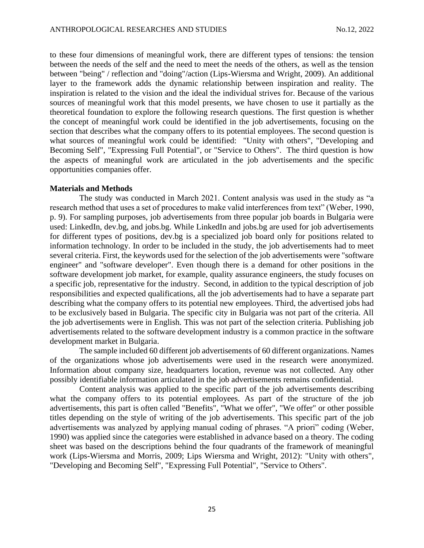to these four dimensions of meaningful work, there are different types of tensions: the tension between the needs of the self and the need to meet the needs of the others, as well as the tension between "being" / reflection and "doing"/action (Lips-Wiersma and Wright, 2009). An additional layer to the framework adds the dynamic relationship between inspiration and reality. The inspiration is related to the vision and the ideal the individual strives for. Because of the various sources of meaningful work that this model presents, we have chosen to use it partially as the theoretical foundation to explore the following research questions. The first question is whether the concept of meaningful work could be identified in the job advertisements, focusing on the section that describes what the company offers to its potential employees. The second question is what sources of meaningful work could be identified: "Unity with others", "Developing and Becoming Self", "Expressing Full Potential", or "Service to Others". The third question is how the aspects of meaningful work are articulated in the job advertisements and the specific opportunities companies offer.

#### **Materials and Methods**

The study was conducted in March 2021. Content analysis was used in the study as "a research method that uses a set of procedures to make valid interferences from text" (Weber, 1990, p. 9). For sampling purposes, job advertisements from three popular job boards in Bulgaria were used: LinkedIn, dev.bg, and jobs.bg. While LinkedIn and jobs.bg are used for job advertisements for different types of positions, dev.bg is a specialized job board only for positions related to information technology. In order to be included in the study, the job advertisements had to meet several criteria. First, the keywords used for the selection of the job advertisements were "software engineer" and "software developer". Even though there is a demand for other positions in the software development job market, for example, quality assurance engineers, the study focuses on a specific job, representative for the industry. Second, in addition to the typical description of job responsibilities and expected qualifications, all the job advertisements had to have a separate part describing what the company offers to its potential new employees. Third, the advertised jobs had to be exclusively based in Bulgaria. The specific city in Bulgaria was not part of the criteria. All the job advertisements were in English. This was not part of the selection criteria. Publishing job advertisements related to the software development industry is a common practice in the software development market in Bulgaria.

The sample included 60 different job advertisements of 60 different organizations. Names of the organizations whose job advertisements were used in the research were anonymized. Information about company size, headquarters location, revenue was not collected. Any other possibly identifiable information articulated in the job advertisements remains confidential.

Content analysis was applied to the specific part of the job advertisements describing what the company offers to its potential employees. As part of the structure of the job advertisements, this part is often called "Benefits", "What we offer", "We offer" or other possible titles depending on the style of writing of the job advertisements. This specific part of the job advertisements was analyzed by applying manual coding of phrases. "A priori" coding (Weber, 1990) was applied since the categories were established in advance based on a theory. The coding sheet was based on the descriptions behind the four quadrants of the framework of meaningful work (Lips-Wiersma and Morris, 2009; Lips Wiersma and Wright, 2012): "Unity with others", "Developing and Becoming Self", "Expressing Full Potential", "Service to Others".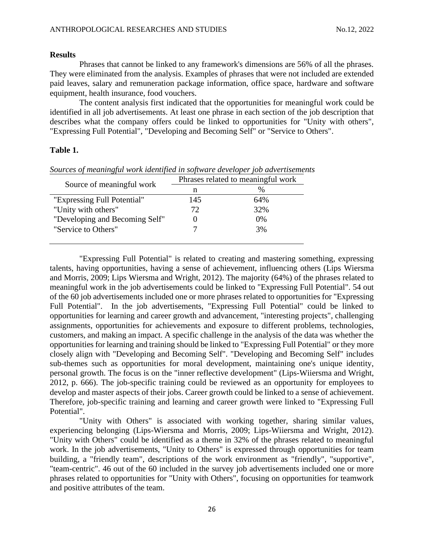#### **Results**

Phrases that cannot be linked to any framework's dimensions are 56% of all the phrases. They were eliminated from the analysis. Examples of phrases that were not included are extended paid leaves, salary and remuneration package information, office space, hardware and software equipment, health insurance, food vouchers.

The content analysis first indicated that the opportunities for meaningful work could be identified in all job advertisements. At least one phrase in each section of the job description that describes what the company offers could be linked to opportunities for "Unity with others", "Expressing Full Potential", "Developing and Becoming Self" or "Service to Others".

### **Table 1.**

| Source of meaningful work      | Phrases related to meaningful work |               |
|--------------------------------|------------------------------------|---------------|
|                                | n                                  | $\frac{0}{0}$ |
| "Expressing Full Potential"    | 145                                | 64%           |
| "Unity with others"            | 72                                 | 32%           |
| "Developing and Becoming Self" |                                    | 0%            |
| "Service to Others"            |                                    | 3%            |
|                                |                                    |               |

*Sources of meaningful work identified in software developer job advertisements*

"Expressing Full Potential" is related to creating and mastering something, expressing talents, having opportunities, having a sense of achievement, influencing others (Lips Wiersma and Morris, 2009; Lips Wiersma and Wright, 2012). The majority (64%) of the phrases related to meaningful work in the job advertisements could be linked to "Expressing Full Potential". 54 out of the 60 job advertisements included one or more phrases related to opportunities for "Expressing Full Potential". In the job advertisements, "Expressing Full Potential" could be linked to opportunities for learning and career growth and advancement, "interesting projects", challenging assignments, opportunities for achievements and exposure to different problems, technologies, customers, and making an impact. A specific challenge in the analysis of the data was whether the opportunities for learning and training should be linked to "Expressing Full Potential" or they more closely align with "Developing and Becoming Self". "Developing and Becoming Self" includes sub-themes such as opportunities for moral development, maintaining one's unique identity, personal growth. The focus is on the "inner reflective development" (Lips-Wiiersma and Wright, 2012, p. 666). The job-specific training could be reviewed as an opportunity for employees to develop and master aspects of their jobs. Career growth could be linked to a sense of achievement. Therefore, job-specific training and learning and career growth were linked to "Expressing Full Potential".

"Unity with Others" is associated with working together, sharing similar values, experiencing belonging (Lips-Wiersma and Morris, 2009; Lips-Wiiersma and Wright, 2012). "Unity with Others" could be identified as a theme in 32% of the phrases related to meaningful work. In the job advertisements, "Unity to Others" is expressed through opportunities for team building, a "friendly team", descriptions of the work environment as "friendly", "supportive", "team-centric". 46 out of the 60 included in the survey job advertisements included one or more phrases related to opportunities for "Unity with Others", focusing on opportunities for teamwork and positive attributes of the team.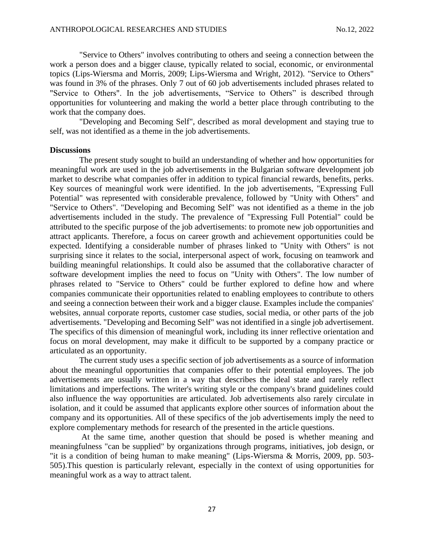"Service to Others" involves contributing to others and seeing a connection between the work a person does and a bigger clause, typically related to social, economic, or environmental topics (Lips-Wiersma and Morris, 2009; Lips-Wiersma and Wright, 2012). "Service to Others" was found in 3% of the phrases. Only 7 out of 60 job advertisements included phrases related to "Service to Others". In the job advertisements, "Service to Others" is described through opportunities for volunteering and making the world a better place through contributing to the work that the company does.

"Developing and Becoming Self", described as moral development and staying true to self, was not identified as a theme in the job advertisements.

#### **Discussions**

The present study sought to build an understanding of whether and how opportunities for meaningful work are used in the job advertisements in the Bulgarian software development job market to describe what companies offer in addition to typical financial rewards, benefits, perks. Key sources of meaningful work were identified. In the job advertisements, "Expressing Full Potential" was represented with considerable prevalence, followed by "Unity with Others" and "Service to Others". "Developing and Becoming Self" was not identified as a theme in the job advertisements included in the study. The prevalence of "Expressing Full Potential" could be attributed to the specific purpose of the job advertisements: to promote new job opportunities and attract applicants. Therefore, a focus on career growth and achievement opportunities could be expected. Identifying a considerable number of phrases linked to "Unity with Others" is not surprising since it relates to the social, interpersonal aspect of work, focusing on teamwork and building meaningful relationships. It could also be assumed that the collaborative character of software development implies the need to focus on "Unity with Others". The low number of phrases related to "Service to Others" could be further explored to define how and where companies communicate their opportunities related to enabling employees to contribute to others and seeing a connection between their work and a bigger clause. Examples include the companies' websites, annual corporate reports, customer case studies, social media, or other parts of the job advertisements. "Developing and Becoming Self" was not identified in a single job advertisement. The specifics of this dimension of meaningful work, including its inner reflective orientation and focus on moral development, may make it difficult to be supported by a company practice or articulated as an opportunity.

The current study uses a specific section of job advertisements as a source of information about the meaningful opportunities that companies offer to their potential employees. The job advertisements are usually written in a way that describes the ideal state and rarely reflect limitations and imperfections. The writer's writing style or the company's brand guidelines could also influence the way opportunities are articulated. Job advertisements also rarely circulate in isolation, and it could be assumed that applicants explore other sources of information about the company and its opportunities. All of these specifics of the job advertisements imply the need to explore complementary methods for research of the presented in the article questions.

At the same time, another question that should be posed is whether meaning and meaningfulness "can be supplied" by organizations through programs, initiatives, job design, or "it is a condition of being human to make meaning" (Lips-Wiersma & Morris, 2009, pp. 503- 505).This question is particularly relevant, especially in the context of using opportunities for meaningful work as a way to attract talent.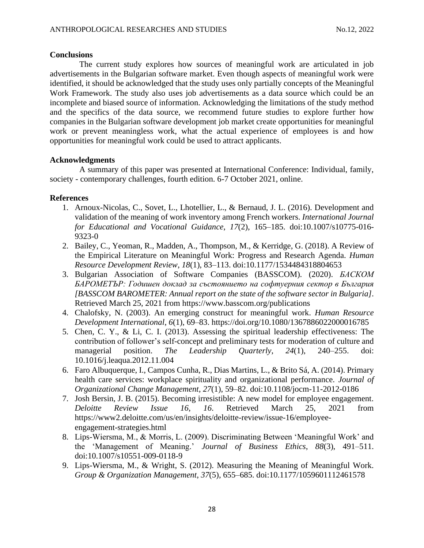### **Conclusions**

The current study explores how sources of meaningful work are articulated in job advertisements in the Bulgarian software market. Even though aspects of meaningful work were identified, it should be acknowledged that the study uses only partially concepts of the Meaningful Work Framework. The study also uses job advertisements as a data source which could be an incomplete and biased source of information. Acknowledging the limitations of the study method and the specifics of the data source, we recommend future studies to explore further how companies in the Bulgarian software development job market create opportunities for meaningful work or prevent meaningless work, what the actual experience of employees is and how opportunities for meaningful work could be used to attract applicants.

## **Acknowledgments**

A summary of this paper was presented at International Conference: Individual, family, society - contemporary challenges, fourth edition. 6-7 October 2021, online.

## **References**

- 1. Arnoux-Nicolas, C., Sovet, L., Lhotellier, L., & Bernaud, J. L. (2016). Development and validation of the meaning of work inventory among French workers. *International Journal for Educational and Vocational Guidance*, *17*(2), 165–185. doi:10.1007/s10775-016- 9323-0
- 2. Bailey, C., Yeoman, R., Madden, A., Thompson, M., & Kerridge, G. (2018). A Review of the Empirical Literature on Meaningful Work: Progress and Research Agenda. *Human Resource Development Review*, *18*(1), 83–113. doi:10.1177/1534484318804653
- 3. Bulgarian Association of Software Companies (BASSCOM). (2020). *БАСКОМ БАРОМЕТЪР: Годишен доклад за състоянието на софтуерния сектор в България [BASSCOM BAROMETER: Annual report on the state of the software sector in Bulgaria]*. Retrieved March 25, 2021 from https://www.basscom.org/publications
- 4. Chalofsky, N. (2003). An emerging construct for meaningful work. *Human Resource Development International*, *6*(1), 69–83. https://doi.org/10.1080/1367886022000016785
- 5. Chen, C. Y., & Li, C. I. (2013). Assessing the spiritual leadership effectiveness: The contribution of follower's self-concept and preliminary tests for moderation of culture and managerial position. *The Leadership Quarterly*, *24*(1), 240–255. doi: 10.1016/j.leaqua.2012.11.004
- 6. Faro Albuquerque, I., Campos Cunha, R., Dias Martins, L., & Brito Sá, A. (2014). Primary health care services: workplace spirituality and organizational performance. *Journal of Organizational Change Management*, *27*(1), 59–82. [doi:10.1108/jocm-11-2012-0186](https://doi.org/10.1108/jocm-11-2012-0186)
- 7. Josh Bersin, J. B. (2015). Becoming irresistible: A new model for employee engagement. *Deloitte Review Issue 16*, *16*. Retrieved March 25, 2021 from https://www2.deloitte.com/us/en/insights/deloitte-review/issue-16/employeeengagement-strategies.html
- 8. Lips-Wiersma, M., & Morris, L. (2009). Discriminating Between 'Meaningful Work' and the 'Management of Meaning.' *Journal of Business Ethics*, *88*(3), 491–511. doi:10.1007/s10551-009-0118-9
- 9. Lips-Wiersma, M., & Wright, S. (2012). Measuring the Meaning of Meaningful Work. *Group & Organization Management*, *37*(5), 655–685. doi:10.1177/1059601112461578